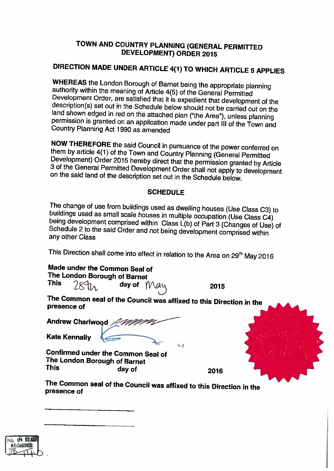## TOWN AND COUNTRY PLANNING (GENERAL PERMITTED DEVELOPMENT) ORDER 2015

## DIRECTION MADE UNDER ARTICLE 4(1) TO WHICH ARTICLE <sup>5</sup> APPLIES

WHEREAS the London Borough of Barnet being the appropriate planning<br>authority within the meaning of Article 4(5) of the General Permitted<br>Development Order, are satisfied that it is expedient that development of the<br>descri

NOW THEREFORE the said Council in pursuance of the power conferred on<br>them by article 4(1) of the Town and Country Planning (General Permitted<br>Development) Order 2015 hereby direct that the permission granted by Article<br>3

## **SCHEDULE**

The change of use from buildings used as dwelling houses (Use Class C3) to buildings used as small scale houses in multiple occupation (Use Class C4) being development comprised within Class L(b) of Part 3 (Changes of Use)

This Direction shall come into effect in relation to the Area on 29<sup>th</sup> May 2016

| Made under the Common Seal of |  |
|-------------------------------|--|
| The London Borough of Barnet  |  |

This  $284\lambda$ , day of  $M$  $a$ <sup> $y$ </sup> 2015

The Common seal of the Council was affixed to this Direction in the presence of

|                      | Andrew Charlwood Amazz |
|----------------------|------------------------|
| <b>Kate Kennally</b> |                        |

Confirmed under the Common Seal of The London Borough of Barnet<br>This day of This day of 2016

The Common seal of the Council was affixed to this Direction in the presence of